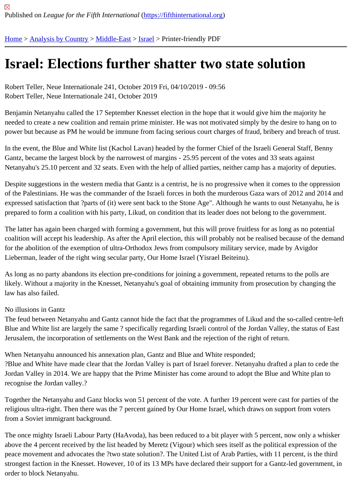## [Isra](https://fifthinternational.org/)[el: Electio](https://fifthinternational.org/category/1)[ns furth](https://fifthinternational.org/category/1/178)[er s](https://fifthinternational.org/category/1/178/465)hatter two state solution

Robert Teller, Neue Internationale 241, October 2019 Fri, 04/10/2019 - 09:56 Robert Teller, Neue Internationale 241, October 2019

Benjamin Netanyahu called the 17 September Knesset election in the hope that it would give him the majority he needed to create a new coalition and remain prime minister. He was not motivated simply by the desire to hang or power but because as PM he would be immune from facing serious court charges of fraud, bribery and breach of t

In the event, the Blue and White list (Kachol Lavan) headed by the former Chief of the Israeli General Staff, Benny Gantz, became the largest block by the narrowest of margins - 25.95 percent of the votes and 33 seats against Netanyahu's 25.10 percent and 32 seats. Even with the help of allied parties, neither camp has a majority of deput

Despite suggestions in the western media that Gantz is a centrist, he is no progressive when it comes to the oppre of the Palestinians. He was the commander of the Israeli forces in both the murderous Gaza wars of 2012 and 201 expressed satisfaction that ?parts of (it) were sent back to the Stone Age". Although he wants to oust Netanyahu, prepared to form a coalition with his party, Likud, on condition that its leader does not belong to the government.

The latter has again been charged with forming a government, but this will prove fruitless for as long as no potenti coalition will accept his leadership. As after the April election, this will probably not be realised because of the dem for the abolition of the exemption of ultra-Orthodox Jews from compulsory military service, made by Avigdor Lieberman, leader of the right wing secular party, Our Home Israel (Yisrael Beiteinu).

As long as no party abandons its election pre-conditions for joining a government, repeated returns to the polls are likely. Without a majority in the Knesset, Netanyahu's goal of obtaining immunity from prosecution by changing the law has also failed.

## No illusions in Gantz

The feud between Netanyahu and Gantz cannot hide the fact that the programmes of Likud and the so-called cent Blue and White list are largely the same ? specifically regarding Israeli control of the Jordan Valley, the status of E Jerusalem, the incorporation of settlements on the West Bank and the rejection of the right of return.

When Netanyahu announced his annexation plan, Gantz and Blue and White responded;

?Blue and White have made clear that the Jordan Valley is part of Israel forever. Netanyahu drafted a plan to cede Jordan Valley in 2014. We are happy that the Prime Minister has come around to adopt the Blue and White plan to recognise the Jordan valley.?

Together the Netanyahu and Ganz blocks won 51 percent of the vote. A further 19 percent were cast for parties of religious ultra-right. Then there was the 7 percent gained by Our Home Israel, which draws on support from voters from a Soviet immigrant background.

The once mighty Israeli Labour Party (HaAvoda), has been reduced to a bit player with 5 percent, now only a whis above the 4 percent received by the list headed by Meretz (Vigour) which sees itself as the political expression of t peace movement and advocates the ?two state solution?. The United List of Arab Parties, with 11 percent, is the t strongest faction in the Knesset. However, 10 of its 13 MPs have declared their support for a Gantz-led governme order to block Netanyahu.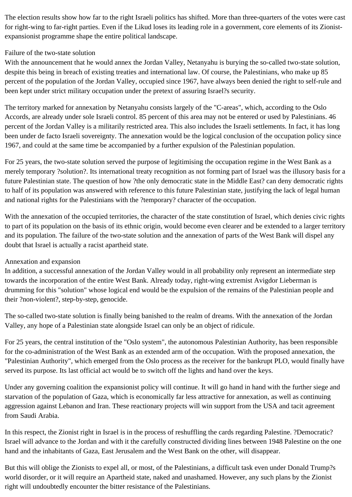The election results show how far to the right Israeli politics has shifted. More than three-quarters of the votes were cast for right-wing to far-right parties. Even if the Likud loses its leading role in a government, core elements of its Zionistexpansionist programme shape the entire political landscape.

## Failure of the two-state solution

With the announcement that he would annex the Jordan Valley, Netanyahu is burying the so-called two-state solution, despite this being in breach of existing treaties and international law. Of course, the Palestinians, who make up 85 percent of the population of the Jordan Valley, occupied since 1967, have always been denied the right to self-rule and been kept under strict military occupation under the pretext of assuring Israel?s security.

The territory marked for annexation by Netanyahu consists largely of the "C-areas", which, according to the Oslo Accords, are already under sole Israeli control. 85 percent of this area may not be entered or used by Palestinians. 46 percent of the Jordan Valley is a militarily restricted area. This also includes the Israeli settlements. In fact, it has long been under de facto Israeli sovereignty. The annexation would be the logical conclusion of the occupation policy since 1967, and could at the same time be accompanied by a further expulsion of the Palestinian population.

For 25 years, the two-state solution served the purpose of legitimising the occupation regime in the West Bank as a merely temporary ?solution?. Its international treaty recognition as not forming part of Israel was the illusory basis for a future Palestinian state. The question of how ?the only democratic state in the Middle East? can deny democratic rights to half of its population was answered with reference to this future Palestinian state, justifying the lack of legal human and national rights for the Palestinians with the ?temporary? character of the occupation.

With the annexation of the occupied territories, the character of the state constitution of Israel, which denies civic rights to part of its population on the basis of its ethnic origin, would become even clearer and be extended to a larger territory and its population. The failure of the two-state solution and the annexation of parts of the West Bank will dispel any doubt that Israel is actually a racist apartheid state.

## Annexation and expansion

In addition, a successful annexation of the Jordan Valley would in all probability only represent an intermediate step towards the incorporation of the entire West Bank. Already today, right-wing extremist Avigdor Lieberman is drumming for this "solution" whose logical end would be the expulsion of the remains of the Palestinian people and their ?non-violent?, step-by-step, genocide.

The so-called two-state solution is finally being banished to the realm of dreams. With the annexation of the Jordan Valley, any hope of a Palestinian state alongside Israel can only be an object of ridicule.

For 25 years, the central institution of the "Oslo system", the autonomous Palestinian Authority, has been responsible for the co-administration of the West Bank as an extended arm of the occupation. With the proposed annexation, the "Palestinian Authority", which emerged from the Oslo process as the receiver for the bankrupt PLO, would finally have served its purpose. Its last official act would be to switch off the lights and hand over the keys.

Under any governing coalition the expansionist policy will continue. It will go hand in hand with the further siege and starvation of the population of Gaza, which is economically far less attractive for annexation, as well as continuing aggression against Lebanon and Iran. These reactionary projects will win support from the USA and tacit agreement from Saudi Arabia.

In this respect, the Zionist right in Israel is in the process of reshuffling the cards regarding Palestine. ?Democratic? Israel will advance to the Jordan and with it the carefully constructed dividing lines between 1948 Palestine on the one hand and the inhabitants of Gaza, East Jerusalem and the West Bank on the other, will disappear.

But this will oblige the Zionists to expel all, or most, of the Palestinians, a difficult task even under Donald Trump?s world disorder, or it will require an Apartheid state, naked and unashamed. However, any such plans by the Zionist right will undoubtedly encounter the bitter resistance of the Palestinians.